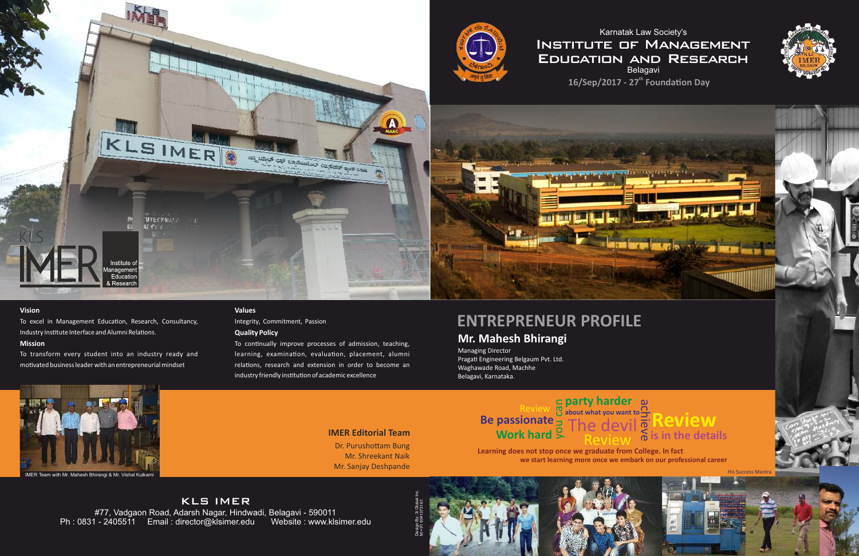KLS IMER #77, Vadgaon Road, Adarsh Nagar, Hindwadi, Belagavi - 590011<br>1 - 2405511 Email : director@klsimer.edu Website : www.klsimer.edu Ph :  $0831 - 2405511$  Email : director@klsimer.edu

To transform every student into an industry ready and motivated business leader with an entrepreneurial mindset

Dr. Purushottam Bung Mr. Shreekant Naik Mr. Sanjay Deshpande

**Mission**



To excel in Management Education, Research, Consultancy, Industry Institute Interface and Alumni Relations.

**IMER Editorial Team**







# **Be passionate about what you want to** Review

Managing Director Pragati Engineering Belgaum Pvt. Ltd. Waghawade Road, Machhe Belagavi, Karnataka.

> **E** party harder<br> **Passionate**<br> **Work hard**<br>
> Work hard<br>
> Work hard The devil<sup>E</sup> Review

### **Mr. Mahesh Bhirangi ENTREPRENEUR PROFILE**

Integrity, Commitment, Passion **Quality Policy**

To continually improve processes of admission, teaching, learning, examination, evaluation, placement, alumni relations, research and extension in order to become an industry friendly institution of academic excellence





**Learning does not stop once we graduate from College. In fact we start learning more once we embark on our professional career**

His Success Mantra

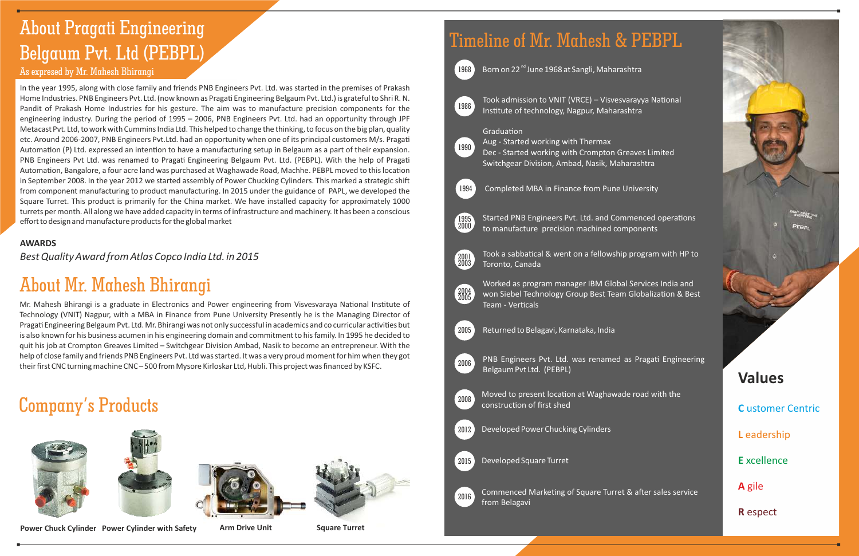In the year 1995, along with close family and friends PNB Engineers Pvt. Ltd. was started in the premises of Prakash Home Industries. PNB Engineers Pvt. Ltd. (now known as Pragati Engineering Belgaum Pvt. Ltd.) is grateful to Shri R.N. Pandit of Prakash Home Industries for his gesture. The aim was to manufacture precision components for the engineering industry. During the period of 1995 – 2006, PNB Engineers Pvt. Ltd. had an opportunity through JPF Metacast Pvt. Ltd, to work with Cummins India Ltd. This helped to change the thinking, to focus on the big plan, quality etc. Around 2006-2007, PNB Engineers Pvt.Ltd. had an opportunity when one of its principal customers M/s. Praga Automation (P) Ltd. expressed an intention to have a manufacturing setup in Belgaum as a part of their expansion. PNB Engineers Pvt Ltd. was renamed to Pragati Engineering Belgaum Pvt. Ltd. (PEBPL). With the help of Pragati Automation, Bangalore, a four acre land was purchased at Waghawade Road, Machhe. PEBPL moved to this location in September 2008. In the year 2012 we started assembly of Power Chucking Cylinders. This marked a strategic shi from component manufacturing to product manufacturing. In 2015 under the guidance of PAPL, we developed the Square Turret. This product is primarily for the China market. We have installed capacity for approximately 1000 turrets per month. All along we have added capacity in terms of infrastructure and machinery. It has been a conscious effort to design and manufacture products for the global market

Mr. Mahesh Bhirangi is a graduate in Electronics and Power engineering from Visvesvaraya National Institute of Technology (VNIT) Nagpur, with a MBA in Finance from Pune University Presently he is the Managing Director of Pragati Engineering Belgaum Pvt. Ltd. Mr. Bhirangi was not only successful in academics and co curricular activities but is also known for his business acumen in his engineering domain and commitment to his family. In 1995 he decided to quit his job at Crompton Greaves Limited – Switchgear Division Ambad, Nasik to become an entrepreneur. With the help of close family and friends PNB Engineers Pvt. Ltd was started. It was a very proud moment for him when they got their first CNC turning machine CNC – 500 from Mysore Kirloskar Ltd, Hubli. This project was financed by KSFC.

### **AWARDS**

Started PNB Engineers Pvt. Ltd. and Commenced operations to manufacture precision machined components

*Best Quality Award from Atlas Copco India Ltd. in 2015*

Took a sabbatical & went on a fellowship program with HP to Toronto, Canada

# About Pragati Engineering Belgaum Pvt. Ltd (PEBPL)

PNB Engineers Pvt. Ltd. was renamed as Pragati Engineering Belgaum Pvt Ltd. (PEBPL)

Moved to present location at Waghawade road with the construction of first shed

### As expresed by Mr. Mahesh Bhirangi

# About Mr. Mahesh Bhirangi

2015 Developed Square Turret

> Commenced Marketing of Square Turret & after sales service from Belagavi



Worked as program manager IBM Global Services India and won Siebel Technology Group Best Team Globalization & Best Team - Verticals







# Timeline of Mr. Mahesh & PEBPL



Born on 22<sup>nd</sup> June 1968 at Sangli, Maharashtra



Took admission to VNIT (VRCE) - Visvesvarayya National Institute of technology, Nagpur, Maharashtra

#### Graduation



1995 2000

2001 2003

2006

2008

2016

1994

Aug - Started working with Thermax Dec - Started working with Crompton Greaves Limited Switchgear Division, Ambad, Nasik, Maharashtra

2005 Returned to Belagavi, Karnataka, India

2012 Developed Power Chucking Cylinders

Completed MBA in Finance from Pune University

# Company's Products





### **Values**

### **C** ustomer Centric

- **L** eadership
- **E** xcellence
- **A** gile
- **R** espect

2004 2005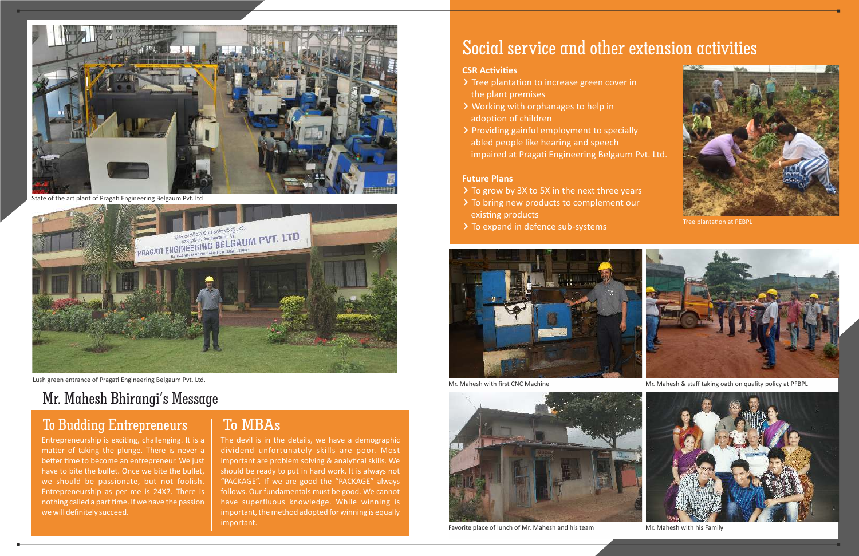# Social service and other extension activities

### **CSR Activities**

- $\triangleright$  Tree plantation to increase green cover in the plant premises
- V Working with orphanages to help in adoption of children
- V Providing gainful employment to specially abled people like hearing and speech impaired at Pragati Engineering Belgaum Pvt. Ltd.

- V To grow by 3X to 5X in the next three years
- > To bring new products to complement our existing products
- > To expand in defence sub-systems

### **Future Plans**



Favorite place of lunch of Mr. Mahesh and his team



Tree plantation at PEBPL

Entrepreneurship is exciting, challenging. It is a matter of taking the plunge. There is never a better time to become an entrepreneur. We just have to bite the bullet. Once we bite the bullet, we should be passionate, but not foolish. Entrepreneurship as per me is 24X7. There is nothing called a part time. If we have the passion we will definitely succeed.



## To Budding Entrepreneurs

## To MBAs

The devil is in the details, we have a demographic dividend unfortunately skills are poor. Most important are problem solving & analytical skills. We should be ready to put in hard work. It is always not "PACKAGE". If we are good the "PACKAGE" always follows. Our fundamentals must be good. We cannot have superfluous knowledge. While winning is important, the method adopted for winning is equally important.



Mr. Mahesh with his Family



State of the art plant of Pragati Engineering Belgaum Pvt. Itd



## Mr. Mahesh Bhirangi's Message